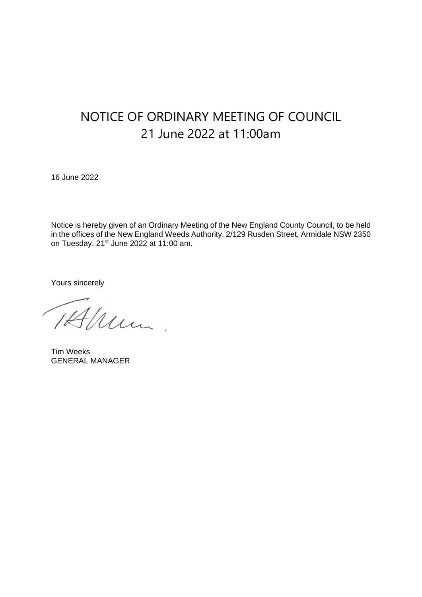## NOTICE OF ORDINARY MEETING OF COUNCIL 21 June 2022 at 11:00am

16 June 2022

Notice is hereby given of an Ordinary Meeting of the New England County Council, to be held in the offices of the New England Weeds Authority, 2/129 Rusden Street, Armidale NSW 2350 on Tuesday, 21<sup>st</sup> June 2022 at 11:00 am.

Yours sincerely

Mum.

Tim Weeks GENERAL MANAGER